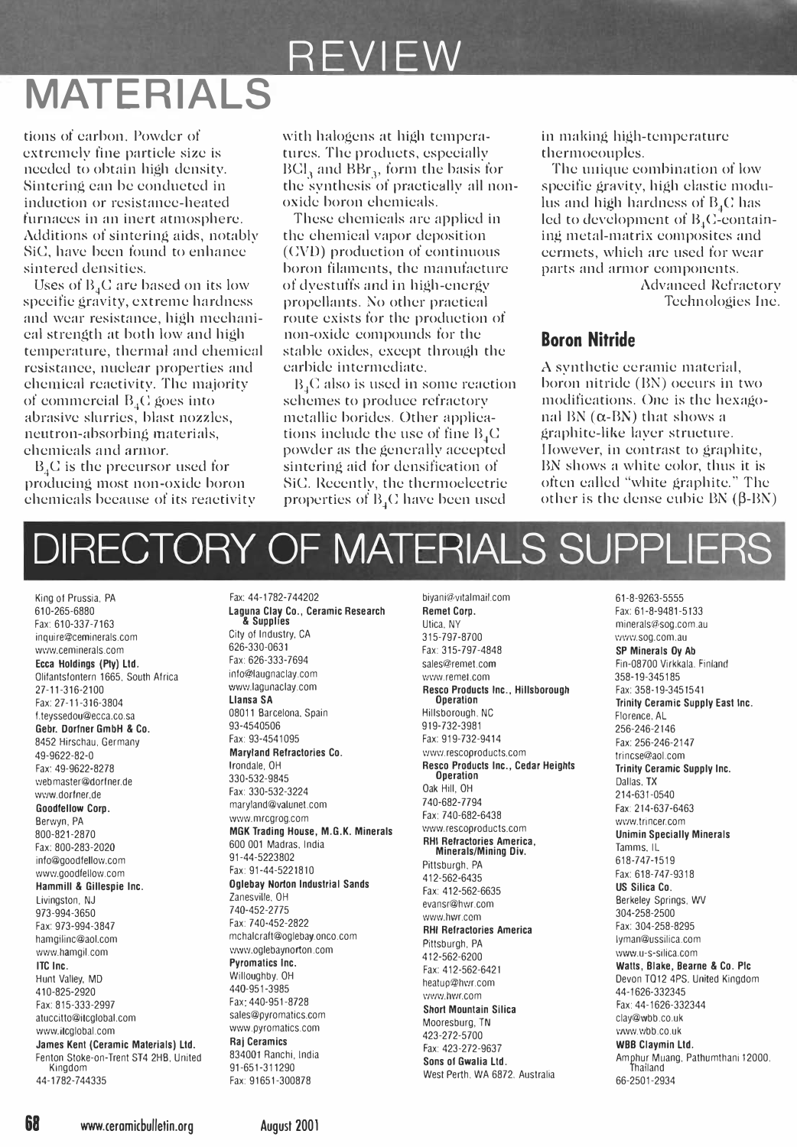## **REVIEW**

## MATERIALS

tions of carbon. Powdcr of cxtrcmely fine particle sizc is nceded to obtain high density. Sintering can be conducted in induction or rcsistancc-heated furnaccs in an inert atmosphere. Additions of sintering aids, notably SiC, have been found to enhance sintered densities.

Uses of  $B_4C$  are based on its low spccifie gravity, extreme hardness and wear resistance, high mechanical strength at both low and high temperature, thermal and chemical rcsistance, nuclear properties and chemical rcaetivity, Thc majority of commercial  $B_4C$  goes into abrasive slurries, blast nozzles, neutron-absorbing materials, chcmieals and armor.

 $B_4C$  is the precursor used for producing most non-oxide boron chemicals bccause of its reaetivity with halogens at high tempcraturcs, The products, especially  $BCl<sub>3</sub>$  and  $BBr<sub>3</sub>$ , form the basis for the synthesis of practieally all nonoxide boron ehcmicals.

These chemicals are applied in thc chemical vapor deposition (CVD) production of eontinuous boron filaments, thc manufaeturc of dyestuffs and in high-energy propellants. No other practical route cxists for the produetion of non-oxidc compounds for the stable oxides, except through the carbide intermediate.

B<sub>i</sub>C also is used in some reaetion schemes to producc refractory metallic borides. Other applieations include the use of fine  $B_4C$ powder as the generally accepted sintering aid for densifieation of SiC. Recently, the thermoelectrie properties of  $B_4C$  have been used

in making high-temperature thermocouples.

The unique combination of low specifie gravity, high elastic modulus and high hardness of  $B_4C$  has led to development of  $B_4C$ -containing metal-matrix composites and ccrmcts, which arc used for wear parts and armor components.

> Advanced Refractory Tcehnologies Inc.

### Boron Nitride

A synthetic ceramic material, boron nitride (BN) occurs in two modifications. Onc is thc hexagonal BN  $(\alpha$ -BN) that shows a graphite-like layer strueture. I lowever, in contrast to graphite, BN shows a white color, thus it is often eallcd "white graphite." The other is the dense cubic  $BN$  ( $\beta$ -BN)

# DIRECTORY OF MATERIALS SUPPLIER

Olifantsfontern 1665, South Africa info@laugnaclay.com in the www.lagunaclay.com **Rescomment.com** 37-11-316-2100 webmaster@dorlner.de 330·532-9845 Operation Dallas, TX

Fax: 91651-300878

King of Prussia, PA Fax:  $44-1782-744202$  biyani@vitalmail.com 61-8-9263-5555 610-265-6880 **Laguna Clay Co., Ceramic Research Remet Corp.** Computer Corp. Fax: 61-8-9481-5133<br>Fax: 610-337-7163 **Remet Corp. A Supplies** Utica, NY Utica, NY Server Remet Corp. The minerals@soq.com.a **& Supplies** examples the community of the community of the community of the community of community of community of community of community of community of community of community of community of community of community of co inquire@ceminerals.com City 01 Industry, CA 315· 797-8700 \'JW\'I.sog.com.au wI'NJ.ceminerals.com 626-330-0631 Fax: 315-797-4848 SP Minerals Oy Ab Ecca Holdings (Pty) Ltd. http://edu.com/holdings (Pty) Ltd. Finland http://edu.com/holdings.com/holdings.com/holdings.com/holdings/defaugraciay.com/holdings/com/holdings/sales@remet.com/holdings/com/holdings/sales@remet.co 27-11-316-2100 www.lagunaclay.com Resco Products Inc., Hillsborough Fax: 358-19-3451541<br>Fax: 27-11-316-3804 **Illansa SA Interversion Deration** Prinity Ceramic Supp Fax: 27-11-316·3804 Llansa SA Operation Trinity CeramiC Supply East Inc. I.teyssedou@ecca.co.sa 08011 Barcelona. Spain HillSborough, NC Florence, AL Gebr. Dorfner GmbH & Co. 93-4540506 919-732-3981 256-246-2146 8452 Hirschau, Germany Fax: 93-4541095 Fax: 919-732-9414 Fax: 919-732-9414<br>Ag. 0622.82.0 frincs@aol.com **Maryland Refractories Co.** WWW.rescoproducts.com frincs@aol.com 49-9622-82-0 Maryland Refractories Co.<br>Ag-9622-82-0 Maryland Refractories Co.<br>Fax: 49-9622-82-0 Maryland Refractories Co. Resco Products Inc., Cedar Heights Trinity Ceramic S Fax: 49-9622-8278 Irondale, OH Resco Products Inc., Cedar Heights Trinity Ceramic Supply Inc. www.dorlner.de Fax: 330-532-3224 Oak Hill, OH 214-631-0540 Goodfellow Corp. maryland@valunet.com 740-682-7794 F3l<: 214-637-6463 Berwyn, PA Wl'lw.mrcgrog.com Fax: 740-682-6438 wI'M.trincer.com 800-821-2870 MGK Trading House, M.G.K. Minerals www.rescoproducts.com Unimin Specially Minerals<br>Fax: 800-283-2020 600 001 Madras, India Minerals/Mining Div. Tamms. IL<br>Minerals/Mining Div. Tamms. IL info@goodlellolV.com 91-44-5223802 Pittsburgh, PA 618·747-1519 www.goodfellow.com **Fax: 91-44-5221810** Fax: 918-747-9318<br> **Rackbox 12-562-6435** Fax: 618-747-9318 Hammill & Gillespie Inc. **Oglebay Norton Industrial Sands** Fax: 412-502-0433<br>Hammill & Gillespie Inc. **Fax: 412-562-6635** Fax: 412-562-6635 US Silica Co.<br>Livingston, NJ Berkeley Springs, WV Livingston, NJ Zanesville,OH evansr@hwr.com Berkeley Springs, WV 973-994-3650 710-452-2775 *(Advertised and Carelating and Carelating and Carelating and Carelating and Carelating and Carelating and Carelating and Society and Carelating and Society and Carelating and Society and Carelati* 973-994-3650<br>Fax: 973-994-3847 Fax: 740-452-2822 Fax: 740-452-2822 RHI Refractories America<br>hamgilinc@aol.com Fax: 304-258-8295 mchalcraft@oglebay.onco.com Pittsburgh PA hamgilinc@aol.com mchalcraft@oglebay.onco.com **in Heractories America**<br>hamgilinc@aol.com www.oglebaynorton.com Pittsburgh, PA lyman@ussilica.com<br>www.hamgil.com www.u-s-silica.com **Proposition** wI'/w.hamgil.com wWIV.oglebaynorton .com 412-562·6200 \'/ww.u-s-silica.com ITC Inc. Pyromatics Inc. 412-562-6200 Promatics Inc. 412-562-6200 Promatics Inc.<br>
Fax: 412-562-6421 Watts, Blake, Bearne & Co. Pic<br>
Hunt Valley, MD Willoughby, OH Willoughby, OH State 2011 Cases and Devon T012-4PS. United Hunt Valley, MD Willoughby. OH heatup@hl"!r.com Devon TQ12 4PS. Uniled Kingdom 410-825-2920 440·951-3985 \'/V/I'/.hw.com 44-1626-332345 Fax: 815-333-2997 Fax: 440-951-8728 Short Mountain Silica Fax: 44-1626-332344<br>The Short Mountain Silica Fax: 44-1626-332344<br>The Short Montain Silica Montant Museum The Clav@wbb.co.uk atuccitto@itcglobal.com sales@pyromatics.com Mooresburg, TN clay@wbb.co.uk www.itcglobal.com www.pyromatics.com 423-272-5700 l'/ww.wbb.co.uk James Kent (Ceramic Materials) Ltd. Raj Ceramics examples and the state of the state of the state of the state<br>Fenton Stoke-on-Trent ST4 2HB, United 834001 Ranchi, India Fax: 423-272-9637 Fans of Gwalia Ltd Amphur Muang, P Fenton Stoke-on-Trent ST4 2HB, United 834001 Ranchi, India Sons of Gwalia Ltd. Amphur Mu<br>Kingdom 11-651-311290 Sons of Gwalia Ltd. Pathum 11200 المسلمان العدادية المسلمانية بين المسلمانية المسلمانية المسلمانية بين المسلمانية المسلمانية المسلمانية المسلما<br>66-2501-2934 66-2501 Mest Perth, WA 6872. Australia 66-2501-2934

68 www.ceromicbulletin.org August 2001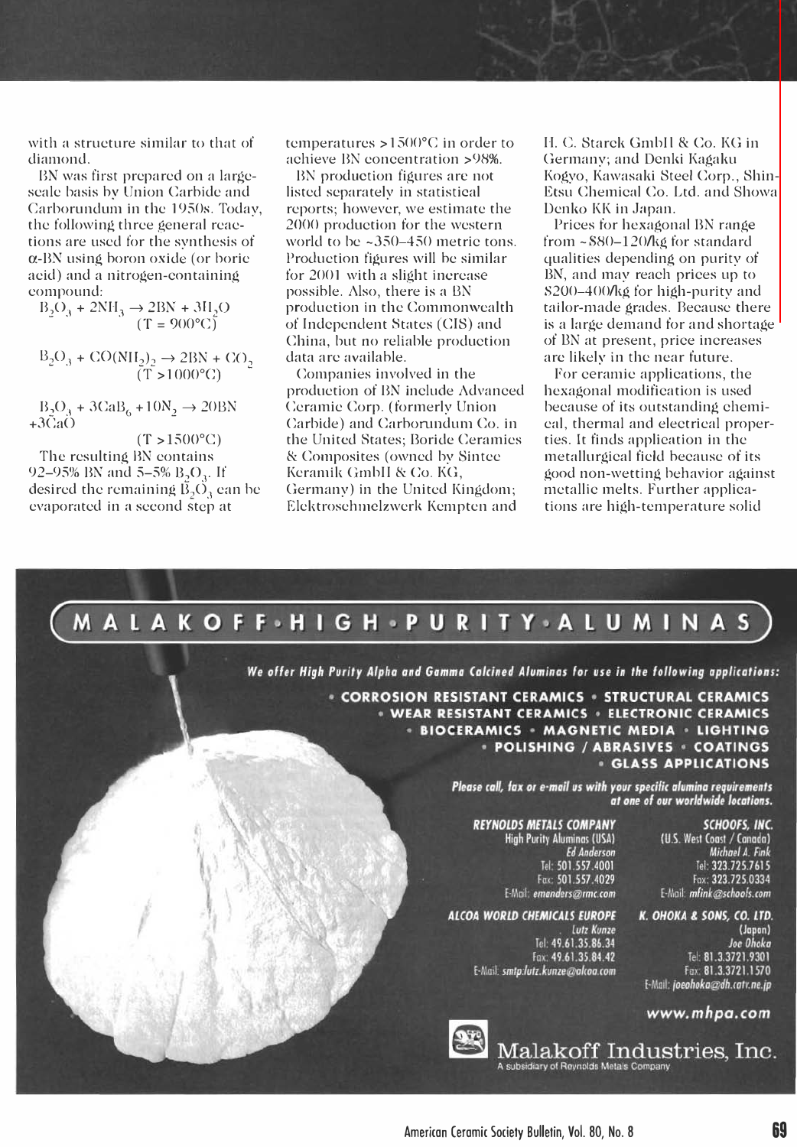with a structure similar to that of diamond.

BN was first prepared on a largescale basis hy Union Carhide and Carborundum in the 19S0s. Today, the following three general reaetions are used for the synthesis of a-BN using horon oxide (or borie acid) and a nitrogen-containing compound:

 $B_2O_3 + 2NH_3 \rightarrow 2BN + 3H_2O$  $(T = 900^{\circ}C)$ 

 $B_2O_3 + CO(NII_2)_2 \rightarrow 2BN + CO_2$ <br>(T > 1000°C)

 $B_2O_3 + 3CaB_6 + 10N_2 \rightarrow 20BN$  $+3\tilde{C}a\tilde{O}$ 

 $(T > 1500$ °C) The resulting BN contains 92–95% BN and 5–5%  $B_2O_3$ . If desired the remaining  $\overline{B}_2\overline{O}_3$  can be cvaporated in a second step at

temperatures  $> 1500^{\circ}$ C in order to achieve BN concentration >98%.

BN production figures are not listed separately in statistical reports; however, we estimate the 2000 production for the western world to be  $\approx 350-450$  metric tons. Production figures will he similar for 2001 with a slight increase possible. Also, there is a BN production in thc Commonwcalth of Indcpendent �tates (CIS) and China, but no reliable production data arc availahle.

Companies involved in the production of 13N include Advanced Ceramic Corp. (formerly Union Carbide) and Carborundum Co. in the United States; Boride Ceramics & Composites (owncd by �intec Keramik Grnhll & Co. KG, Germany) in the United Kingdom; Elektrosehmelzwerk Kempten and

1-1. C. Starck Gmhll & Co. KG in Germany; and Denki Kagaku Kogyo, Kawasaki Steel Corp., Shin-Etsu Chemical Co. Ltd. and Showa Denko KK in Japan.

Prices for hexagonal BN range from -S80-120/kg for standard qualities depending on purity of BN, and may reach prices up to S200-400/kg for high-purity and tailor-made grades. Because there is a large demand for and shortage of UN at present, price increases are likely in the near future.

For ceramic applications, the hexagonal modification is used because of its outstanding chemical, thermal and electrical properties. It finds application in the metallurgical field hecausc of its good non-wetting behavior against metallic melts. Further applications are high-temperature solid



We offer High Purity Alpha and Gamma Calcined Aluminas for use in the following applications:

· CORROSION RESISTANT CERAMICS · STRUCTURAL CERAMICS · WEAR RESISTANT CERAMICS · ELECTRONIC CERAMICS . BIOCERAMICS . MAGNETIC MEDIA . LIGHTING · POLISHING / ABRASIVES · COATINGS **GLASS APPLICATIONS** 

> Please call, fax or e-mail us with your specific alumina requirements at one of our worldwide locations.

### **REYNOLDS METALS COMPANY High Purity Aluminas (USA) Ed Anderson** Tel: 501.557.4001<br>Fax: 501.557.4029 E-Mail: emanders@rmc.com

#### ALCOA WORLD CHEMICALS EUROPE

**Lutz Kunze** Tel: 49.61.35.86.34 Fax: 49.61.35.84.42 E-Mail: smtp:lutz.kunze@alcoa.com

SCHOOFS, INC. (U.S. West Coast / Canada) Michael A. Fink Tel: 323.725.7615 Fax: 323.725.0334 E-Mail: mfink@schoofs.com

K. OHOKA & SONS, CO. LTD. (Japan) Joe Ohoka Tel: 81.3.3721.9301 Fax: 81.3.3721.1570 E-Mail: joeohoka@dh.catv.ne.jp

#### www.mhpa.com



Malakoff Industries, Inc. of Reynolds Metals Company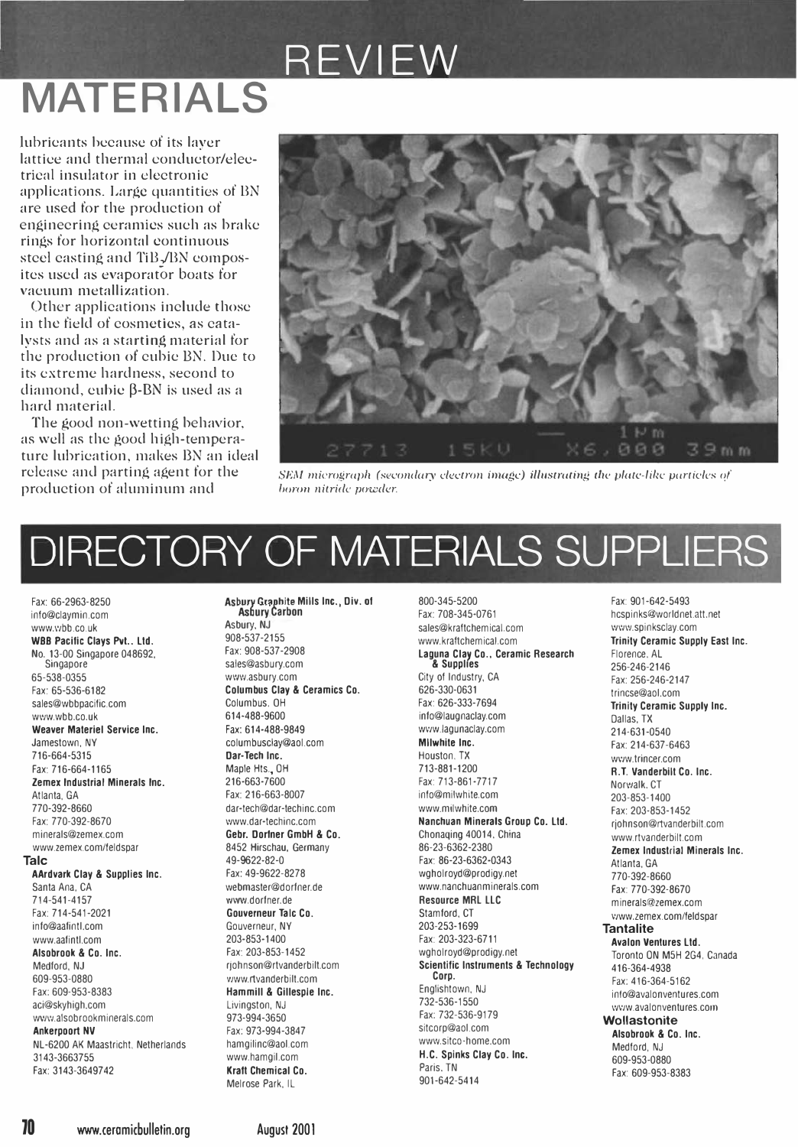## REVIEW **MATERIALS**

lubricants because of its laver lattice and thermal conductor/electrical insulator in electronic applications. Large quantities of BN are used for the production of enginecring ceramics such as brake rings for horizontal continuous steel easting and TiB./BN composites used as evaporator boats for vacuum metallization.

Other applications include those in the field of cosmetics, as eatalysts and as a starting material for the production of cubic BN. Due to its extreme hardness, second to diamond, eubie B-BN is used as a hard material.

The good non-wetting behavior, as well as the good high-temperature lubrication, makes BN an ideal release and parting agent for the production of aluminum and



SEM micrograph (secondary electron image) illustrating the plate-like particles of boron nitride powder.

# DIRECTORY OF MATERIALS SUPPLIERS

Fax: 66-2963-8250 info@claymin.com www.vbb.co.uk WBB Pacific Clays Pvt.. Ltd. No. 13-00 Singapore 048692, Singapore 65-538-0355 Fax: 65-536-6182 sales@wbbpacific.com www.whh.co.uk Weaver Materiel Service Inc. Jamestown NY 716-664-5315 Fax: 716-664-1165 Zemex Industrial Minerals Inc. Atlanta GA 770-392-8660 Fax: 770-392-8670 minerals@zemex.com www.zemex.com/feldspar **Talc** AArdvark Clay & Supplies Inc. Santa Ana, CA 714-541-4157 Fax: 714-541-2021 info@aafintLcom www.aafintl.com Alsobrook & Co. Inc. Medford, NJ 609-953-0880 Fax: 609-953-8383 aci@skyhigh.com www.alsobrookminerals.com **Ankerpoort NV** NL-6200 AK Maastricht, Netherlands 3143-3663755 Fax: 3143-3649742

Asbury Graphite Mills Inc., Div. of<br>Asbury Carbon Asbury, NJ 908-537-2155 Fax: 908-537-2908 sales@asbury.com www.asbury.com Columbus Clay & Ceramics Co. Columbus, OH 614-488-9600 Fax: 614-488-9849 columbusclay@aol.com Dar-Tech Inc. Maple Hts., OH 216-663-7600 Fax: 216-663-8007 dar-tech@dar-techinc.com www.dar-techinc.com Gebr. Dorfner GmbH & Co. 8452 Hirschau, Germany 49-9622-82-0 Fax: 49-9622-8278 webmaster@dorfner.de www.dorfner.de Gouverneur Talc Co. Gouverneur NY 203-853-1400 Fax: 203-853-1452 rjohnson@rtvanderbilt.com www.rtvanderbilt.com Hammill & Gillespie Inc. Livingston, NJ 973-994-3650 Fax: 973-994-3847 hamoilinc@aol.com www.hamgil.com **Kraft Chemical Co.** Melrose Park. IL

800-345-5200 Fax: 708-345-0761 sales@kraftchemical.com www.kraftchemical.com Laguna Clay Co., Ceramic Research & Supplies

City of Industry, CA 626-330-0631 Fax: 626-333-7694 info@laugnaclay.com www.lagunaclay.com Milwhite Inc. Houston, TX 713-881-1200 Fax: 713-861-7717 info@milwhite.com www.milwhite.com Nanchuan Minerals Group Co. Ltd. Chonaging 40014, China 86-23-6362-2380 Fax: 86-23-6362-0343 wgholroyd@prodigy.net www.nanchuanminerals.com **Resource MRL LLC** Stamford, CT 203-253-1699 Fax: 203-323-6711 waholroyd@prodiay.net **Scientific Instruments & Technology** Corp. Englishtown, NJ 732-536-1550 Fax: 732-536-9179 sitcorp@aol.com www.sitco-home.com H.C. Spinks Clay Co. Inc. Paris, TN 901-642-5414

Fax: 901-642-5493 hcspinks@worldnet.att.net www.spinksclav.com Trinity Ceramic Supply East Inc. Florence, AL 256-246-2146 Fax: 256-246-2147 trincse@aol.com Trinity Ceramic Supply Inc. Dallas, TX 214-631-0540 Fax: 214-637-6463 www.trincer.com R.T. Vanderbilt Co. Inc. Norwalk, CT 203-853-1400 Fax: 203-853-1452 riohnson@rtvanderbilt.com www.rtvanderbilt.com Zemex Industrial Minerals Inc. Atlanta GA 770-392-8660 Fax: 770-392-8670 minerals@zemex.com www.zemex.com/feldspar **Tantalite Avalon Ventures Ltd.** Toronto ON M5H 2G4, Canada 416-364-4938 Fax: 416-364-5162 into@avalonventures.com www.avalonventures.com Wollastonite Alsobrook & Co. Inc. Medford, NJ 609-953-0880 Fax: 609-953-8383

**70** www.ceramicbulletin.org